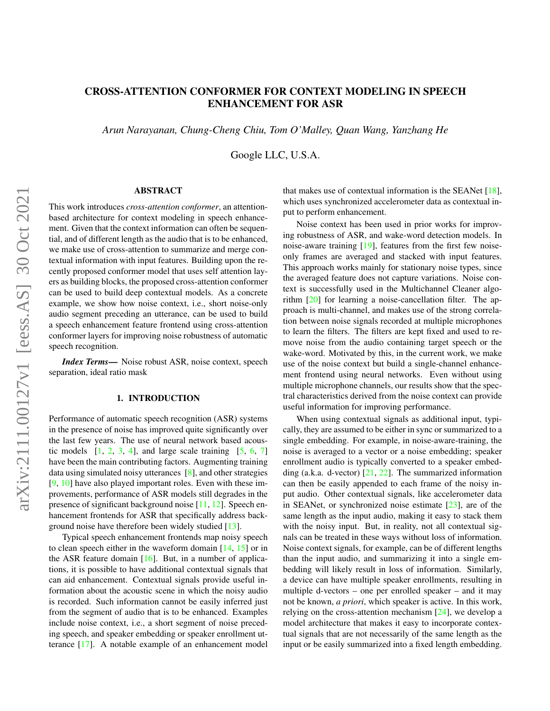# CROSS-ATTENTION CONFORMER FOR CONTEXT MODELING IN SPEECH ENHANCEMENT FOR ASR

*Arun Narayanan, Chung-Cheng Chiu, Tom O'Malley, Quan Wang, Yanzhang He*

Google LLC, U.S.A.

### ABSTRACT

arXiv:2111.00127v1 [eess.AS] 30 Oct 2021 arXiv:2111.00127v1 [eess.AS] 30 Oct 2021

This work introduces *cross-attention conformer*, an attentionbased architecture for context modeling in speech enhancement. Given that the context information can often be sequential, and of different length as the audio that is to be enhanced, we make use of cross-attention to summarize and merge contextual information with input features. Building upon the recently proposed conformer model that uses self attention layers as building blocks, the proposed cross-attention conformer can be used to build deep contextual models. As a concrete example, we show how noise context, i.e., short noise-only audio segment preceding an utterance, can be used to build a speech enhancement feature frontend using cross-attention conformer layers for improving noise robustness of automatic speech recognition.

*Index Terms*— Noise robust ASR, noise context, speech separation, ideal ratio mask

#### 1. INTRODUCTION

Performance of automatic speech recognition (ASR) systems in the presence of noise has improved quite significantly over the last few years. The use of neural network based acoustic models  $[1, 2, 3, 4]$  $[1, 2, 3, 4]$  $[1, 2, 3, 4]$  $[1, 2, 3, 4]$  $[1, 2, 3, 4]$  $[1, 2, 3, 4]$  $[1, 2, 3, 4]$ , and large scale training  $[5, 6, 7]$  $[5, 6, 7]$  $[5, 6, 7]$  $[5, 6, 7]$  $[5, 6, 7]$ have been the main contributing factors. Augmenting training data using simulated noisy utterances [\[8\]](#page-6-7), and other strategies [\[9,](#page-6-8) [10\]](#page-6-9) have also played important roles. Even with these improvements, performance of ASR models still degrades in the presence of significant background noise [\[11,](#page-6-10) [12\]](#page-6-11). Speech enhancement frontends for ASR that specifically address background noise have therefore been widely studied [\[13\]](#page-6-12).

Typical speech enhancement frontends map noisy speech to clean speech either in the waveform domain [\[14,](#page-6-13) [15\]](#page-6-14) or in the ASR feature domain  $[16]$ . But, in a number of applications, it is possible to have additional contextual signals that can aid enhancement. Contextual signals provide useful information about the acoustic scene in which the noisy audio is recorded. Such information cannot be easily inferred just from the segment of audio that is to be enhanced. Examples include noise context, i.e., a short segment of noise preceding speech, and speaker embedding or speaker enrollment utterance [\[17\]](#page-6-16). A notable example of an enhancement model that makes use of contextual information is the SEANet [\[18\]](#page-6-17), which uses synchronized accelerometer data as contextual input to perform enhancement.

Noise context has been used in prior works for improving robustness of ASR, and wake-word detection models. In noise-aware training [\[19\]](#page-6-18), features from the first few noiseonly frames are averaged and stacked with input features. This approach works mainly for stationary noise types, since the averaged feature does not capture variations. Noise context is successfully used in the Multichannel Cleaner algorithm [\[20\]](#page-6-19) for learning a noise-cancellation filter. The approach is multi-channel, and makes use of the strong correlation between noise signals recorded at multiple microphones to learn the filters. The filters are kept fixed and used to remove noise from the audio containing target speech or the wake-word. Motivated by this, in the current work, we make use of the noise context but build a single-channel enhancement frontend using neural networks. Even without using multiple microphone channels, our results show that the spectral characteristics derived from the noise context can provide useful information for improving performance.

When using contextual signals as additional input, typically, they are assumed to be either in sync or summarized to a single embedding. For example, in noise-aware-training, the noise is averaged to a vector or a noise embedding; speaker enrollment audio is typically converted to a speaker embedding (a.k.a. d-vector) [\[21,](#page-6-20) [22\]](#page-6-21). The summarized information can then be easily appended to each frame of the noisy input audio. Other contextual signals, like accelerometer data in SEANet, or synchronized noise estimate [\[23\]](#page-6-22), are of the same length as the input audio, making it easy to stack them with the noisy input. But, in reality, not all contextual signals can be treated in these ways without loss of information. Noise context signals, for example, can be of different lengths than the input audio, and summarizing it into a single embedding will likely result in loss of information. Similarly, a device can have multiple speaker enrollments, resulting in multiple d-vectors – one per enrolled speaker – and it may not be known, *a priori*, which speaker is active. In this work, relying on the cross-attention mechanism [\[24\]](#page-7-0), we develop a model architecture that makes it easy to incorporate contextual signals that are not necessarily of the same length as the input or be easily summarized into a fixed length embedding.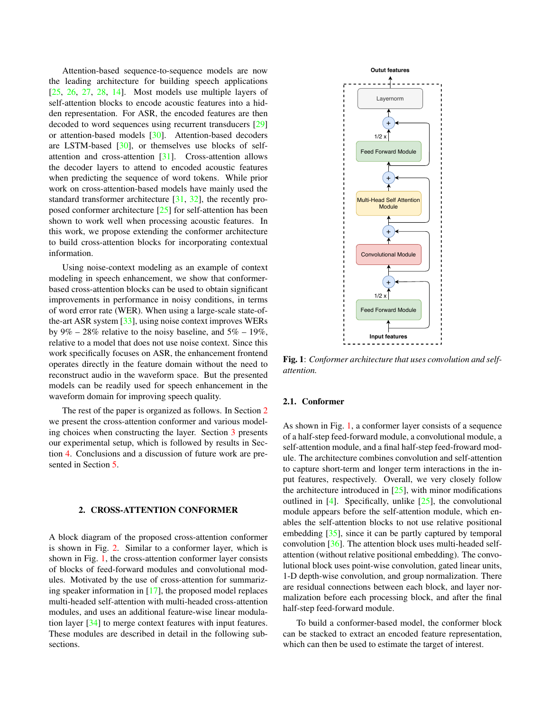Attention-based sequence-to-sequence models are now the leading architecture for building speech applications  $[25, 26, 27, 28, 14]$  $[25, 26, 27, 28, 14]$  $[25, 26, 27, 28, 14]$  $[25, 26, 27, 28, 14]$  $[25, 26, 27, 28, 14]$  $[25, 26, 27, 28, 14]$  $[25, 26, 27, 28, 14]$  $[25, 26, 27, 28, 14]$  $[25, 26, 27, 28, 14]$ . Most models use multiple layers of self-attention blocks to encode acoustic features into a hidden representation. For ASR, the encoded features are then decoded to word sequences using recurrent transducers [\[29\]](#page-7-5) or attention-based models [\[30\]](#page-7-6). Attention-based decoders are LSTM-based [\[30\]](#page-7-6), or themselves use blocks of selfattention and cross-attention [\[31\]](#page-7-7). Cross-attention allows the decoder layers to attend to encoded acoustic features when predicting the sequence of word tokens. While prior work on cross-attention-based models have mainly used the standard transformer architecture [\[31,](#page-7-7) [32\]](#page-7-8), the recently proposed conformer architecture [\[25\]](#page-7-1) for self-attention has been shown to work well when processing acoustic features. In this work, we propose extending the conformer architecture to build cross-attention blocks for incorporating contextual information.

Using noise-context modeling as an example of context modeling in speech enhancement, we show that conformerbased cross-attention blocks can be used to obtain significant improvements in performance in noisy conditions, in terms of word error rate (WER). When using a large-scale state-ofthe-art ASR system [\[33\]](#page-7-9), using noise context improves WERs by  $9\% - 28\%$  relative to the noisy baseline, and  $5\% - 19\%$ , relative to a model that does not use noise context. Since this work specifically focuses on ASR, the enhancement frontend operates directly in the feature domain without the need to reconstruct audio in the waveform space. But the presented models can be readily used for speech enhancement in the waveform domain for improving speech quality.

The rest of the paper is organized as follows. In Section [2](#page-1-0) we present the cross-attention conformer and various modeling choices when constructing the layer. Section [3](#page-3-0) presents our experimental setup, which is followed by results in Section [4.](#page-4-0) Conclusions and a discussion of future work are presented in Section [5.](#page-5-0)

## <span id="page-1-0"></span>2. CROSS-ATTENTION CONFORMER

A block diagram of the proposed cross-attention conformer is shown in Fig. [2.](#page-2-0) Similar to a conformer layer, which is shown in Fig. [1,](#page-1-1) the cross-attention conformer layer consists of blocks of feed-forward modules and convolutional modules. Motivated by the use of cross-attention for summarizing speaker information in [\[17\]](#page-6-16), the proposed model replaces multi-headed self-attention with multi-headed cross-attention modules, and uses an additional feature-wise linear modulation layer [\[34\]](#page-7-10) to merge context features with input features. These modules are described in detail in the following subsections.

<span id="page-1-1"></span>

Fig. 1: *Conformer architecture that uses convolution and selfattention.*

## 2.1. Conformer

As shown in Fig. [1,](#page-1-1) a conformer layer consists of a sequence of a half-step feed-forward module, a convolutional module, a self-attention module, and a final half-step feed-froward module. The architecture combines convolution and self-attention to capture short-term and longer term interactions in the input features, respectively. Overall, we very closely follow the architecture introduced in  $[25]$ , with minor modifications outlined in [\[4\]](#page-6-3). Specifically, unlike [\[25\]](#page-7-1), the convolutional module appears before the self-attention module, which enables the self-attention blocks to not use relative positional embedding [\[35\]](#page-7-11), since it can be partly captured by temporal convolution [\[36\]](#page-7-12). The attention block uses multi-headed selfattention (without relative positional embedding). The convolutional block uses point-wise convolution, gated linear units, 1-D depth-wise convolution, and group normalization. There are residual connections between each block, and layer normalization before each processing block, and after the final half-step feed-forward module.

To build a conformer-based model, the conformer block can be stacked to extract an encoded feature representation, which can then be used to estimate the target of interest.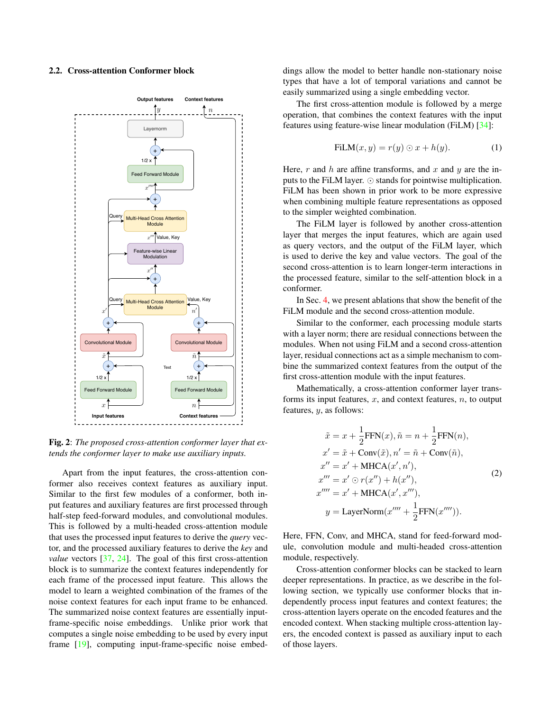### <span id="page-2-1"></span>2.2. Cross-attention Conformer block

<span id="page-2-0"></span>

Fig. 2: *The proposed cross-attention conformer layer that extends the conformer layer to make use auxiliary inputs.*

Apart from the input features, the cross-attention conformer also receives context features as auxiliary input. Similar to the first few modules of a conformer, both input features and auxiliary features are first processed through half-step feed-forward modules, and convolutional modules. This is followed by a multi-headed cross-attention module that uses the processed input features to derive the *query* vector, and the processed auxiliary features to derive the *key* and *value* vectors [\[37,](#page-7-13) [24\]](#page-7-0). The goal of this first cross-attention block is to summarize the context features independently for each frame of the processed input feature. This allows the model to learn a weighted combination of the frames of the noise context features for each input frame to be enhanced. The summarized noise context features are essentially inputframe-specific noise embeddings. Unlike prior work that computes a single noise embedding to be used by every input frame [\[19\]](#page-6-18), computing input-frame-specific noise embeddings allow the model to better handle non-stationary noise types that have a lot of temporal variations and cannot be easily summarized using a single embedding vector.

The first cross-attention module is followed by a merge operation, that combines the context features with the input features using feature-wise linear modulation (FiLM) [\[34\]](#page-7-10):

$$
FiLM(x, y) = r(y) \odot x + h(y). \tag{1}
$$

Here, r and h are affine transforms, and x and y are the inputs to the FiLM layer.  $\odot$  stands for pointwise multiplication. FiLM has been shown in prior work to be more expressive when combining multiple feature representations as opposed to the simpler weighted combination.

The FiLM layer is followed by another cross-attention layer that merges the input features, which are again used as query vectors, and the output of the FiLM layer, which is used to derive the key and value vectors. The goal of the second cross-attention is to learn longer-term interactions in the processed feature, similar to the self-attention block in a conformer.

In Sec. [4,](#page-4-0) we present ablations that show the benefit of the FiLM module and the second cross-attention module.

Similar to the conformer, each processing module starts with a layer norm; there are residual connections between the modules. When not using FiLM and a second cross-attention layer, residual connections act as a simple mechanism to combine the summarized context features from the output of the first cross-attention module with the input features.

Mathematically, a cross-attention conformer layer transforms its input features,  $x$ , and context features,  $n$ , to output features, y, as follows:

$$
\tilde{x} = x + \frac{1}{2} \text{FFN}(x), \tilde{n} = n + \frac{1}{2} \text{FFN}(n),
$$
\n
$$
x' = \tilde{x} + \text{Conv}(\tilde{x}), n' = \tilde{n} + \text{Conv}(\tilde{n}),
$$
\n
$$
x'' = x' + \text{MHCA}(x', n'),
$$
\n
$$
x''' = x' \odot r(x'') + h(x''),
$$
\n
$$
x'''' = x' + \text{MHCA}(x', x'''),
$$
\n
$$
y = \text{LayerNorm}(x'''' + \frac{1}{2} \text{FFN}(x'''')).
$$

Here, FFN, Conv, and MHCA, stand for feed-forward module, convolution module and multi-headed cross-attention module, respectively.

Cross-attention conformer blocks can be stacked to learn deeper representations. In practice, as we describe in the following section, we typically use conformer blocks that independently process input features and context features; the cross-attention layers operate on the encoded features and the encoded context. When stacking multiple cross-attention layers, the encoded context is passed as auxiliary input to each of those layers.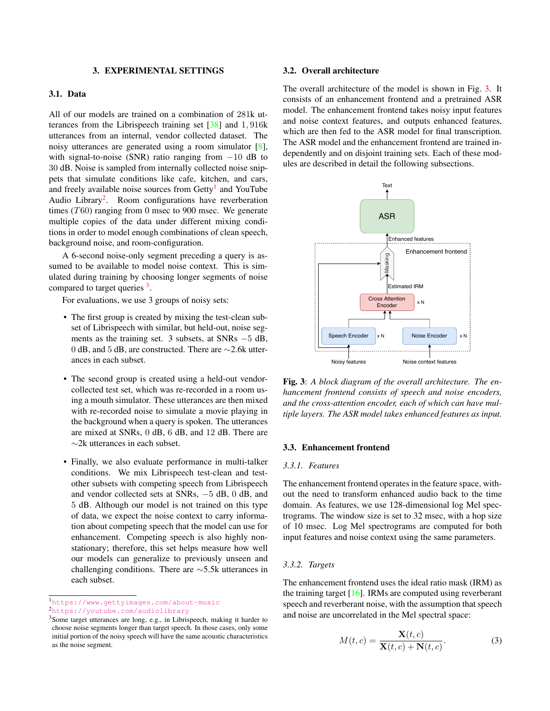### 3. EXPERIMENTAL SETTINGS

# <span id="page-3-0"></span>3.1. Data

All of our models are trained on a combination of 281k utterances from the Librispeech training set [\[38\]](#page-7-14) and 1, 916k utterances from an internal, vendor collected dataset. The noisy utterances are generated using a room simulator [\[8\]](#page-6-7), with signal-to-noise (SNR) ratio ranging from  $-10$  dB to 30 dB. Noise is sampled from internally collected noise snippets that simulate conditions like cafe, kitchen, and cars, and freely available noise sources from Getty<sup>[1](#page-3-1)</sup> and YouTube Audio Library<sup>[2](#page-3-2)</sup>. Room configurations have reverberation times (T60) ranging from 0 msec to 900 msec. We generate multiple copies of the data under different mixing conditions in order to model enough combinations of clean speech, background noise, and room-configuration.

A 6-second noise-only segment preceding a query is assumed to be available to model noise context. This is simulated during training by choosing longer segments of noise compared to target queries <sup>[3](#page-3-3)</sup>.

For evaluations, we use 3 groups of noisy sets:

- The first group is created by mixing the test-clean subset of Librispeech with similar, but held-out, noise segments as the training set. 3 subsets, at SNRs −5 dB, 0 dB, and 5 dB, are constructed. There are ∼2.6k utterances in each subset.
- The second group is created using a held-out vendorcollected test set, which was re-recorded in a room using a mouth simulator. These utterances are then mixed with re-recorded noise to simulate a movie playing in the background when a query is spoken. The utterances are mixed at SNRs, 0 dB, 6 dB, and 12 dB. There are ∼2k utterances in each subset.
- Finally, we also evaluate performance in multi-talker conditions. We mix Librispeech test-clean and testother subsets with competing speech from Librispeech and vendor collected sets at SNRs, −5 dB, 0 dB, and 5 dB. Although our model is not trained on this type of data, we expect the noise context to carry information about competing speech that the model can use for enhancement. Competing speech is also highly nonstationary; therefore, this set helps measure how well our models can generalize to previously unseen and challenging conditions. There are ∼5.5k utterances in each subset.

### 3.2. Overall architecture

The overall architecture of the model is shown in Fig. [3.](#page-3-4) It consists of an enhancement frontend and a pretrained ASR model. The enhancement frontend takes noisy input features and noise context features, and outputs enhanced features, which are then fed to the ASR model for final transcription. The ASR model and the enhancement frontend are trained independently and on disjoint training sets. Each of these modules are described in detail the following subsections.

<span id="page-3-4"></span>

Fig. 3: *A block diagram of the overall architecture. The enhancement frontend consists of speech and noise encoders, and the cross-attention encoder, each of which can have multiple layers. The ASR model takes enhanced features as input.*

#### 3.3. Enhancement frontend

#### *3.3.1. Features*

The enhancement frontend operates in the feature space, without the need to transform enhanced audio back to the time domain. As features, we use 128-dimensional log Mel spectrograms. The window size is set to 32 msec, with a hop size of 10 msec. Log Mel spectrograms are computed for both input features and noise context using the same parameters.

#### *3.3.2. Targets*

The enhancement frontend uses the ideal ratio mask (IRM) as the training target  $[16]$ . IRMs are computed using reverberant speech and reverberant noise, with the assumption that speech and noise are uncorrelated in the Mel spectral space:

$$
M(t,c) = \frac{\mathbf{X}(t,c)}{\mathbf{X}(t,c) + \mathbf{N}(t,c)}.
$$
 (3)

<span id="page-3-1"></span><sup>1</sup><https://www.gettyimages.com/about-music>

<span id="page-3-2"></span><sup>2</sup><https://youtube.com/audiolibrary>

<span id="page-3-3"></span><sup>3</sup>Some target utterances are long, e.g., in Librispeech, making it harder to choose noise segments longer than target speech. In those cases, only some initial portion of the noisy speech will have the same acoustic characteristics as the noise segment.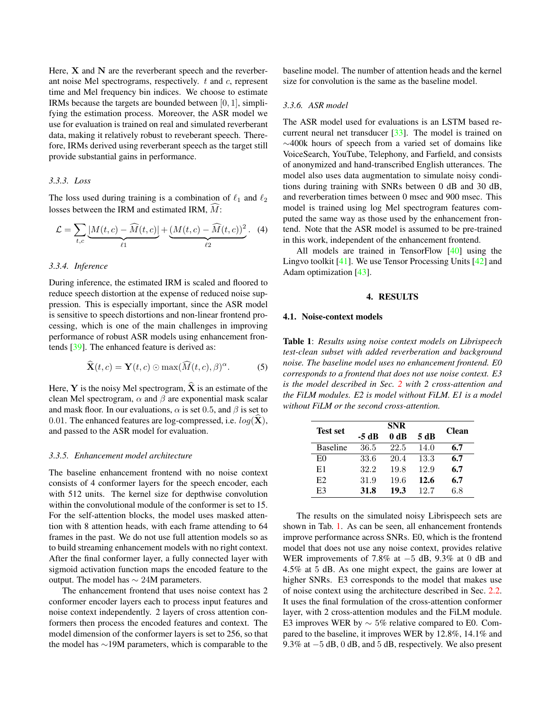Here,  $X$  and  $N$  are the reverberant speech and the reverberant noise Mel spectrograms, respectively.  $t$  and  $c$ , represent time and Mel frequency bin indices. We choose to estimate IRMs because the targets are bounded between [0, 1], simplifying the estimation process. Moreover, the ASR model we use for evaluation is trained on real and simulated reverberant data, making it relatively robust to reveberant speech. Therefore, IRMs derived using reverberant speech as the target still provide substantial gains in performance.

### *3.3.3. Loss*

The loss used during training is a combination of  $\ell_1$  and  $\ell_2$ losses between the IRM and estimated IRM,  $\hat{M}$ :

$$
\mathcal{L} = \sum_{t,c} \underbrace{|M(t,c) - \widehat{M}(t,c)|}_{\ell_1} + \underbrace{(M(t,c) - \widehat{M}(t,c))^2}_{\ell_2}.
$$
 (4)

## *3.3.4. Inference*

During inference, the estimated IRM is scaled and floored to reduce speech distortion at the expense of reduced noise suppression. This is especially important, since the ASR model is sensitive to speech distortions and non-linear frontend processing, which is one of the main challenges in improving performance of robust ASR models using enhancement frontends [\[39\]](#page-7-15). The enhanced feature is derived as:

$$
\widehat{\mathbf{X}}(t,c) = \mathbf{Y}(t,c) \odot \max(\widehat{M}(t,c),\beta)^{\alpha}.
$$
 (5)

Here, Y is the noisy Mel spectrogram,  $\hat{\mathbf{X}}$  is an estimate of the clean Mel spectrogram,  $\alpha$  and  $\beta$  are exponential mask scalar and mask floor. In our evaluations,  $\alpha$  is set 0.5, and  $\beta$  is set to 0.01. The enhanced features are log-compressed, i.e.  $log(\hat{\mathbf{X}})$ , and passed to the ASR model for evaluation.

#### *3.3.5. Enhancement model architecture*

The baseline enhancement frontend with no noise context consists of 4 conformer layers for the speech encoder, each with 512 units. The kernel size for depthwise convolution within the convolutional module of the conformer is set to 15. For the self-attention blocks, the model uses masked attention with 8 attention heads, with each frame attending to 64 frames in the past. We do not use full attention models so as to build streaming enhancement models with no right context. After the final conformer layer, a fully connected layer with sigmoid activation function maps the encoded feature to the output. The model has  $\sim$  24M parameters.

The enhancement frontend that uses noise context has 2 conformer encoder layers each to process input features and noise context independently. 2 layers of cross attention conformers then process the encoded features and context. The model dimension of the conformer layers is set to 256, so that the model has ∼19M parameters, which is comparable to the baseline model. The number of attention heads and the kernel size for convolution is the same as the baseline model.

# *3.3.6. ASR model*

The ASR model used for evaluations is an LSTM based recurrent neural net transducer [\[33\]](#page-7-9). The model is trained on ∼400k hours of speech from a varied set of domains like VoiceSearch, YouTube, Telephony, and Farfield, and consists of anonymized and hand-transcribed English utterances. The model also uses data augmentation to simulate noisy conditions during training with SNRs between 0 dB and 30 dB, and reverberation times between 0 msec and 900 msec. This model is trained using log Mel spectrogram features computed the same way as those used by the enhancement frontend. Note that the ASR model is assumed to be pre-trained in this work, independent of the enhancement frontend.

All models are trained in TensorFlow [\[40\]](#page-7-16) using the Lingvo toolkit [\[41\]](#page-7-17). We use Tensor Processing Units [\[42\]](#page-7-18) and Adam optimization [\[43\]](#page-7-19).

## 4. RESULTS

#### <span id="page-4-0"></span>4.1. Noise-context models

<span id="page-4-1"></span>Table 1: *Results using noise context models on Librispeech test-clean subset with added reverberation and background noise. The baseline model uses no enhancement frontend. E0 corresponds to a frontend that does not use noise context. E3 is the model described in Sec. [2](#page-1-0) with 2 cross-attention and the FiLM modules. E2 is model without FiLM. E1 is a model without FiLM or the second cross-attention.*

| <b>Test set</b> | <b>SNR</b> |      |      |              |
|-----------------|------------|------|------|--------------|
|                 | -5 dB      | 0 dB | 5 dB | <b>Clean</b> |
| <b>Baseline</b> | 36.5       | 22.5 | 14.0 | 6.7          |
| E0              | 33.6       | 20.4 | 13.3 | 6.7          |
| E1              | 32.2       | 19.8 | 12.9 | 6.7          |
| E2              | 31.9       | 19.6 | 12.6 | 6.7          |
| E3              | 31.8       | 19.3 | 12.7 | 6.8          |

The results on the simulated noisy Librispeech sets are shown in Tab. [1.](#page-4-1) As can be seen, all enhancement frontends improve performance across SNRs. E0, which is the frontend model that does not use any noise context, provides relative WER improvements of 7.8% at −5 dB, 9.3% at 0 dB and 4.5% at 5 dB. As one might expect, the gains are lower at higher SNRs. E3 corresponds to the model that makes use of noise context using the architecture described in Sec. [2.2.](#page-2-1) It uses the final formulation of the cross-attention conformer layer, with 2 cross-attention modules and the FiLM module. E3 improves WER by  $\sim 5\%$  relative compared to E0. Compared to the baseline, it improves WER by 12.8%, 14.1% and 9.3% at  $-5$  dB, 0 dB, and 5 dB, respectively. We also present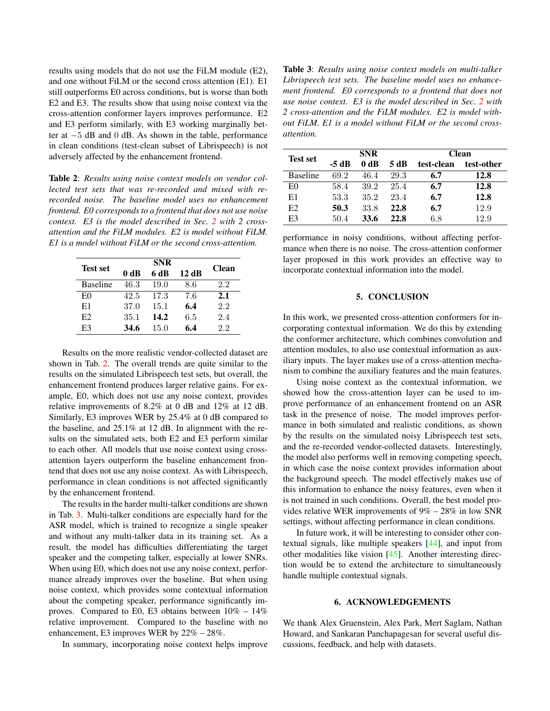results using models that do not use the FiLM module (E2), and one without FiLM or the second cross attention (E1). E1 still outperforms E0 across conditions, but is worse than both E2 and E3. The results show that using noise context via the cross-attention conformer layers improves performance. E2 and E3 perform similarly, with E3 working marginally better at −5 dB and 0 dB. As shown in the table, performance in clean conditions (test-clean subset of Librispeech) is not adversely affected by the enhancement frontend.

<span id="page-5-1"></span>Table 2: *Results using noise context models on vendor collected test sets that was re-recorded and mixed with rerecorded noise. The baseline model uses no enhancement frontend. E0 corresponds to a frontend that does not use noise context. E3 is the model described in Sec. [2](#page-1-0) with 2 crossattention and the FiLM modules. E2 is model without FiLM. E1 is a model without FiLM or the second cross-attention.*

| <b>Test set</b> | <b>SNR</b> |      |      |              |
|-----------------|------------|------|------|--------------|
|                 | 0 dB       | 6 dB | 12dB | <b>Clean</b> |
| <b>Baseline</b> | 46.3       | 19.0 | 8.6  | 2.2          |
| E <sub>0</sub>  | 42.5       | 17.3 | 7.6  | 2.1          |
| E1              | 37.0       | 15.1 | 6.4  | 2.2          |
| E2              | 35.1       | 14.2 | 6.5  | 2.4          |
| E3              | 34.6       | 15.0 | 6.4  | 2.2          |

Results on the more realistic vendor-collected dataset are shown in Tab. [2.](#page-5-1) The overall trends are quite similar to the results on the simulated Librispeech test sets, but overall, the enhancement frontend produces larger relative gains. For example, E0, which does not use any noise context, provides relative improvements of 8.2% at 0 dB and 12% at 12 dB. Similarly, E3 improves WER by 25.4% at 0 dB compared to the baseline, and 25.1% at 12 dB. In alignment with the results on the simulated sets, both E2 and E3 perform similar to each other. All models that use noise context using crossattention layers outperform the baseline enhancement frontend that does not use any noise context. As with Librispeech, performance in clean conditions is not affected significantly by the enhancement frontend.

The results in the harder multi-talker conditions are shown in Tab. [3.](#page-5-2) Multi-talker conditions are especially hard for the ASR model, which is trained to recognize a single speaker and without any multi-talker data in its training set. As a result, the model has difficulties differentiating the target speaker and the competing talker, especially at lower SNRs. When using E0, which does not use any noise context, performance already improves over the baseline. But when using noise context, which provides some contextual information about the competing speaker, performance significantly improves. Compared to E0, E3 obtains between 10% – 14% relative improvement. Compared to the baseline with no enhancement, E3 improves WER by 22% – 28%.

In summary, incorporating noise context helps improve

<span id="page-5-2"></span>Table 3: *Results using noise context models on multi-talker Librispeech test sets. The baseline model uses no enhancement frontend. E0 corresponds to a frontend that does not use noise context. E3 is the model described in Sec. [2](#page-1-0) with 2 cross-attention and the FiLM modules. E2 is model without FiLM. E1 is a model without FiLM or the second crossattention.*

| <b>Test set</b> | <b>SNR</b> |      |      | <b>Clean</b> |            |
|-----------------|------------|------|------|--------------|------------|
|                 | -5 dB      | 0 dR | 5 dB | test-clean   | test-other |
| <b>Baseline</b> | 692        | 46.4 | 29.3 | 6.7          | 12.8       |
| E0              | 58.4       | 39.2 | 25.4 | 6.7          | 12.8       |
| E1              | 53.3       | 35.2 | 23.4 | 6.7          | 12.8       |
| E <sub>2</sub>  | 50.3       | 33.8 | 22.8 | 6.7          | 12.9       |
| E3              | 50.4       | 33.6 | 22.8 | 6.8          | 12.9       |

performance in noisy conditions, without affecting performance when there is no noise. The cross-attention conformer layer proposed in this work provides an effective way to incorporate contextual information into the model.

## 5. CONCLUSION

<span id="page-5-0"></span>In this work, we presented cross-attention conformers for incorporating contextual information. We do this by extending the conformer architecture, which combines convolution and attention modules, to also use contextual information as auxiliary inputs. The layer makes use of a cross-attention mechanism to combine the auxiliary features and the main features.

Using noise context as the contextual information, we showed how the cross-attention layer can be used to improve performance of an enhancement frontend on an ASR task in the presence of noise. The model improves performance in both simulated and realistic conditions, as shown by the results on the simulated noisy Librispeech test sets, and the re-recorded vendor-collected datasets. Interestingly, the model also performs well in removing competing speech, in which case the noise context provides information about the background speech. The model effectively makes use of this information to enhance the noisy features, even when it is not trained in such conditions. Overall, the best model provides relative WER improvements of 9% – 28% in low SNR settings, without affecting performance in clean conditions.

In future work, it will be interesting to consider other contextual signals, like multiple speakers [\[44\]](#page-7-20), and input from other modalities like vision [\[45\]](#page-7-21). Another interesting direction would be to extend the architecture to simultaneously handle multiple contextual signals.

## 6. ACKNOWLEDGEMENTS

We thank Alex Gruenstein, Alex Park, Mert Saglam, Nathan Howard, and Sankaran Panchapagesan for several useful discussions, feedback, and help with datasets.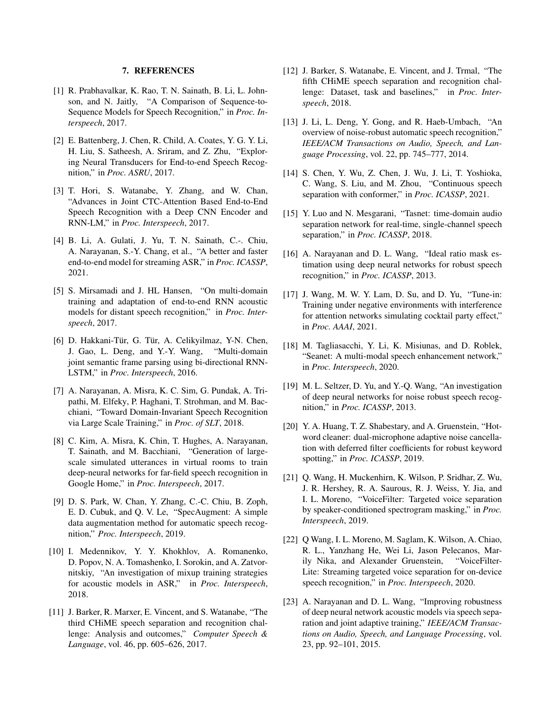## 7. REFERENCES

- <span id="page-6-0"></span>[1] R. Prabhavalkar, K. Rao, T. N. Sainath, B. Li, L. Johnson, and N. Jaitly, "A Comparison of Sequence-to-Sequence Models for Speech Recognition," in *Proc. Interspeech*, 2017.
- <span id="page-6-1"></span>[2] E. Battenberg, J. Chen, R. Child, A. Coates, Y. G. Y. Li, H. Liu, S. Satheesh, A. Sriram, and Z. Zhu, "Exploring Neural Transducers for End-to-end Speech Recognition," in *Proc. ASRU*, 2017.
- <span id="page-6-2"></span>[3] T. Hori, S. Watanabe, Y. Zhang, and W. Chan, "Advances in Joint CTC-Attention Based End-to-End Speech Recognition with a Deep CNN Encoder and RNN-LM," in *Proc. Interspeech*, 2017.
- <span id="page-6-3"></span>[4] B. Li, A. Gulati, J. Yu, T. N. Sainath, C.-. Chiu, A. Narayanan, S.-Y. Chang, et al., "A better and faster end-to-end model for streaming ASR," in *Proc. ICASSP*, 2021.
- <span id="page-6-4"></span>[5] S. Mirsamadi and J. HL Hansen, "On multi-domain training and adaptation of end-to-end RNN acoustic models for distant speech recognition," in *Proc. Interspeech*, 2017.
- <span id="page-6-5"></span>[6] D. Hakkani-Tür, G. Tür, A. Celikyilmaz, Y-N. Chen, J. Gao, L. Deng, and Y.-Y. Wang, "Multi-domain joint semantic frame parsing using bi-directional RNN-LSTM," in *Proc. Interspeech*, 2016.
- <span id="page-6-6"></span>[7] A. Narayanan, A. Misra, K. C. Sim, G. Pundak, A. Tripathi, M. Elfeky, P. Haghani, T. Strohman, and M. Bacchiani, "Toward Domain-Invariant Speech Recognition via Large Scale Training," in *Proc. of SLT*, 2018.
- <span id="page-6-7"></span>[8] C. Kim, A. Misra, K. Chin, T. Hughes, A. Narayanan, T. Sainath, and M. Bacchiani, "Generation of largescale simulated utterances in virtual rooms to train deep-neural networks for far-field speech recognition in Google Home," in *Proc. Interspeech*, 2017.
- <span id="page-6-8"></span>[9] D. S. Park, W. Chan, Y. Zhang, C.-C. Chiu, B. Zoph, E. D. Cubuk, and Q. V. Le, "SpecAugment: A simple data augmentation method for automatic speech recognition," *Proc. Interspeech*, 2019.
- <span id="page-6-9"></span>[10] I. Medennikov, Y. Y. Khokhlov, A. Romanenko, D. Popov, N. A. Tomashenko, I. Sorokin, and A. Zatvornitskiy, "An investigation of mixup training strategies for acoustic models in ASR," in *Proc. Interspeech*, 2018.
- <span id="page-6-10"></span>[11] J. Barker, R. Marxer, E. Vincent, and S. Watanabe, "The third CHiME speech separation and recognition challenge: Analysis and outcomes," *Computer Speech & Language*, vol. 46, pp. 605–626, 2017.
- <span id="page-6-11"></span>[12] J. Barker, S. Watanabe, E. Vincent, and J. Trmal, "The fifth CHiME speech separation and recognition challenge: Dataset, task and baselines," in *Proc. Interspeech*, 2018.
- <span id="page-6-12"></span>[13] J. Li, L. Deng, Y. Gong, and R. Haeb-Umbach, "An overview of noise-robust automatic speech recognition," *IEEE/ACM Transactions on Audio, Speech, and Language Processing*, vol. 22, pp. 745–777, 2014.
- <span id="page-6-13"></span>[14] S. Chen, Y. Wu, Z. Chen, J. Wu, J. Li, T. Yoshioka, C. Wang, S. Liu, and M. Zhou, "Continuous speech separation with conformer," in *Proc. ICASSP*, 2021.
- <span id="page-6-14"></span>[15] Y. Luo and N. Mesgarani, "Tasnet: time-domain audio separation network for real-time, single-channel speech separation," in *Proc. ICASSP*, 2018.
- <span id="page-6-15"></span>[16] A. Narayanan and D. L. Wang, "Ideal ratio mask estimation using deep neural networks for robust speech recognition," in *Proc. ICASSP*, 2013.
- <span id="page-6-16"></span>[17] J. Wang, M. W. Y. Lam, D. Su, and D. Yu, "Tune-in: Training under negative environments with interference for attention networks simulating cocktail party effect," in *Proc. AAAI*, 2021.
- <span id="page-6-17"></span>[18] M. Tagliasacchi, Y. Li, K. Misiunas, and D. Roblek, "Seanet: A multi-modal speech enhancement network," in *Proc. Interspeech*, 2020.
- <span id="page-6-18"></span>[19] M. L. Seltzer, D. Yu, and Y.-Q. Wang, "An investigation of deep neural networks for noise robust speech recognition," in *Proc. ICASSP*, 2013.
- <span id="page-6-19"></span>[20] Y. A. Huang, T. Z. Shabestary, and A. Gruenstein, "Hotword cleaner: dual-microphone adaptive noise cancellation with deferred filter coefficients for robust keyword spotting," in *Proc. ICASSP*, 2019.
- <span id="page-6-20"></span>[21] Q. Wang, H. Muckenhirn, K. Wilson, P. Sridhar, Z. Wu, J. R. Hershey, R. A. Saurous, R. J. Weiss, Y. Jia, and I. L. Moreno, "VoiceFilter: Targeted voice separation by speaker-conditioned spectrogram masking," in *Proc. Interspeech*, 2019.
- <span id="page-6-21"></span>[22] Q Wang, I. L. Moreno, M. Saglam, K. Wilson, A. Chiao, R. L., Yanzhang He, Wei Li, Jason Pelecanos, Marily Nika, and Alexander Gruenstein, "VoiceFilter-Lite: Streaming targeted voice separation for on-device speech recognition," in *Proc. Interspeech*, 2020.
- <span id="page-6-22"></span>[23] A. Narayanan and D. L. Wang, "Improving robustness of deep neural network acoustic models via speech separation and joint adaptive training," *IEEE/ACM Transactions on Audio, Speech, and Language Processing*, vol. 23, pp. 92–101, 2015.